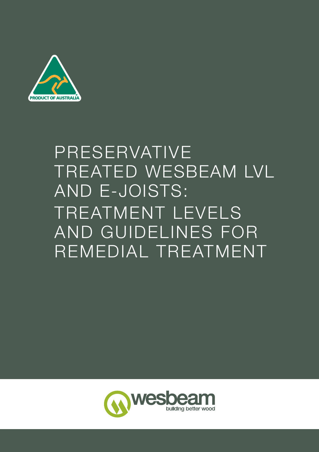

# PRESERVATIVE TREATED WESBEAM LVL AND E-JOISTS: TREATMENT LEVELS AND GUIDELINES FOR REMEDIAL TREATMENT

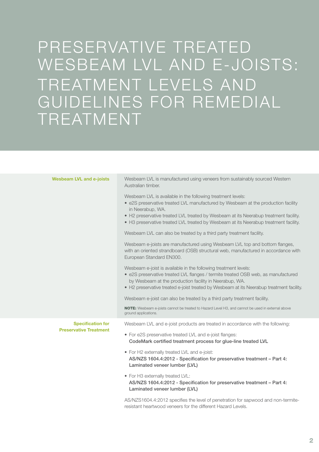## PRESERVATIVE TREATED WESBEAM LVL AND E-JOISTS: TREATMENT LEVELS AND GUIDELINES FOR REMEDIAL TREATMENT

| <b>Wesbeam LVL and e-joists</b>                           | Wesbeam LVL is manufactured using veneers from sustainably sourced Western<br>Australian timber.                                                                                                                                                                                                                                                     |
|-----------------------------------------------------------|------------------------------------------------------------------------------------------------------------------------------------------------------------------------------------------------------------------------------------------------------------------------------------------------------------------------------------------------------|
|                                                           | Wesbeam LVL is available in the following treatment levels:<br>• e2S preservative treated LVL manufactured by Wesbeam at the production facility<br>in Neerabup, WA.<br>• H2 preservative treated LVL treated by Wesbeam at its Neerabup treatment facility.<br>• H3 preservative treated LVL treated by Wesbeam at its Neerabup treatment facility. |
|                                                           | Wesbeam LVL can also be treated by a third party treatment facility.                                                                                                                                                                                                                                                                                 |
|                                                           | Wesbeam e-joists are manufactured using Wesbeam LVL top and bottom flanges,<br>with an oriented strandboard (OSB) structural web, manufactured in accordance with<br>European Standard EN300.                                                                                                                                                        |
|                                                           | Wesbeam e-joist is available in the following treatment levels:<br>• e2S preservative treated LVL flanges / termite treated OSB web, as manufactured<br>by Wesbeam at the production facility in Neerabup, WA.<br>• H2 preservative treated e-joist treated by Wesbeam at its Neerabup treatment facility.                                           |
|                                                           | Wesbeam e-joist can also be treated by a third party treatment facility.                                                                                                                                                                                                                                                                             |
|                                                           | NOTE: Wesbeam e-joists cannot be treated to Hazard Level H3, and cannot be used in external above<br>ground applications.                                                                                                                                                                                                                            |
| <b>Specification for</b><br><b>Preservative Treatment</b> | Wesbeam LVL and e-joist products are treated in accordance with the following:                                                                                                                                                                                                                                                                       |
|                                                           | • For e2S preservative treated LVL and e-joist flanges:<br>CodeMark certified treatment process for glue-line treated LVL                                                                                                                                                                                                                            |
|                                                           | • For H2 externally treated LVL and e-joist:<br>AS/NZS 1604.4:2012 - Specification for preservative treatment - Part 4:<br>Laminated veneer lumber (LVL)                                                                                                                                                                                             |
|                                                           | • For H3 externally treated LVL:<br>AS/NZS 1604.4:2012 - Specification for preservative treatment - Part 4:<br>Laminated veneer lumber (LVL)                                                                                                                                                                                                         |
|                                                           | AS/N7S1604 4:2012 specifies the level of penetration for sanwood and non-termite-                                                                                                                                                                                                                                                                    |

LS1604.4:2012 specifies the level of penetration for sap resistant heartwood veneers for the different Hazard Levels.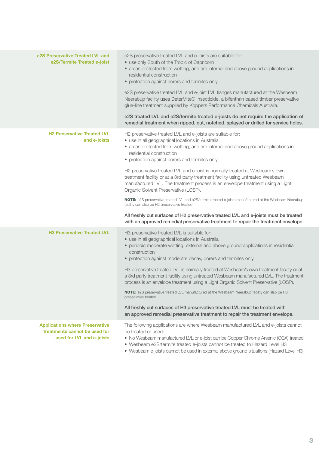| e2S Preservative Treated LVL and<br>e2S/Termite Treated e-joist                                             | e2S preservative treated LVL and e-joists are suitable for:<br>• use only South of the Tropic of Capricorn<br>• areas protected from wetting, and are internal and above ground applications in<br>residential construction<br>• protection against borers and termites only<br>e2S preservative treated LVL and e-joist LVL flanges manufactured at the Wesbeam<br>Neerabup facility uses DeterMite® insecticide, a bifenthrin based timber preservative<br>glue-line treatment supplied by Koppers Performance Chemicals Australia.<br>e2S treated LVL and e2S/termite treated e-joists do not require the application of<br>remedial treatment when ripped, cut, notched, splayed or drilled for service holes.                                                                                                                                                                                                       |
|-------------------------------------------------------------------------------------------------------------|--------------------------------------------------------------------------------------------------------------------------------------------------------------------------------------------------------------------------------------------------------------------------------------------------------------------------------------------------------------------------------------------------------------------------------------------------------------------------------------------------------------------------------------------------------------------------------------------------------------------------------------------------------------------------------------------------------------------------------------------------------------------------------------------------------------------------------------------------------------------------------------------------------------------------|
| <b>H2 Preservative Treated LVL</b><br>and e-joists                                                          | H2 preservative treated LVL and e-joists are suitable for:<br>· use in all geographical locations in Australia<br>• areas protected from wetting, and are internal and above ground applications in<br>residential construction<br>• protection against borers and termites only<br>H2 preservative treated LVL and e-joist is normally treated at Wesbeam's own<br>treatment facility or at a 3rd party treatment facility using untreated Wesbeam<br>manufactured LVL. The treatment process is an envelope treatment using a Light<br>Organic Solvent Preservative (LOSP).<br>NOTE: e2S preservative treated LVL and e2S/termite treated e-joists manufactured at the Wesbeam Neerabup<br>facility can also be H2 preservative treated.<br>All freshly cut surfaces of H2 preservative treated LVL and e-joists must be treated<br>with an approved remedial preservative treatment to repair the treatment envelope. |
| <b>H3 Preservative Treated LVL</b>                                                                          | H3 preservative treated LVL is suitable for:<br>· use in all geographical locations in Australia<br>• periodic moderate wetting, external and above ground applications in residential<br>construction<br>• protection against moderate decay, borers and termites only<br>H3 preservative treated LVL is normally treated at Wesbeam's own treatment facility or at<br>a 3rd party treatment facility using untreated Wesbeam manufactured LVL. The treatment<br>process is an envelope treatment using a Light Organic Solvent Preservative (LOSP).<br>NOTE: e2S preservative treated LVL manufactured at the Wesbeam Neerabup facility can also be H3<br>preservative treated.<br>All freshly cut surfaces of H3 preservative treated LVL must be treated with<br>an approved remedial preservative treatment to repair the treatment envelope.                                                                       |
| <b>Applications where Preservative</b><br><b>Treatments cannot be used for</b><br>used for LVL and e-joists | The following applications are where Wesbeam manufactured LVL and e-joists cannot<br>be treated or used:<br>• No Wesbeam manufactured LVL or e-joist can be Copper Chrome Arsenic (CCA) treated<br>• Wesbeam e2S/termite treated e-joists cannot be treated to Hazard Level H3                                                                                                                                                                                                                                                                                                                                                                                                                                                                                                                                                                                                                                           |

• Wesbeam e-joists cannot be used in external above ground situations (Hazard Level H3)